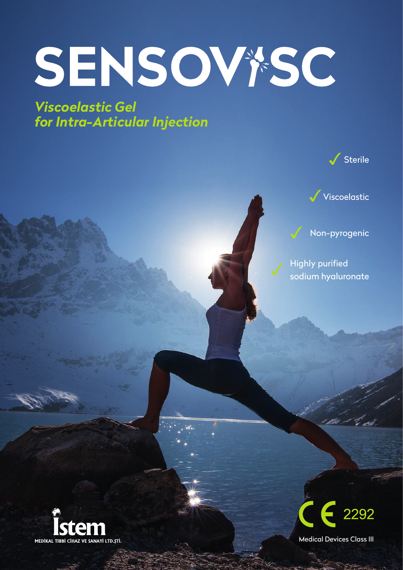# SENSOV\*SC

*Viscoelastic Gel for Intra-Articular Injection*





Non-pyrogenic

✓ Highly purified sodium hyaluronate





Medical Devices Class III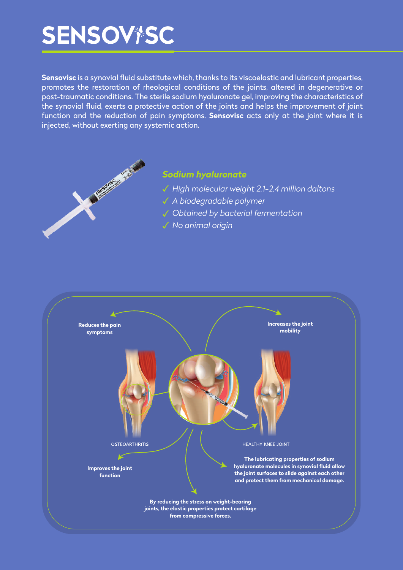# **SENSOV†SC**

**Sensovisc** is a synovial fluid substitute which, thanks to its viscoelastic and lubricant properties, promotes the restoration of rheological conditions of the joints, altered in degenerative or post-traumatic conditions. The sterile sodium hyaluronate gel, improving the characteristics of the synovial fluid, exerts a protective action of the joints and helps the improvement of joint function and the reduction of pain symptoms. **Sensovisc** acts only at the joint where it is injected, without exerting any systemic action.



### *Sodium hyaluronate*

- *High molecular weight 2.1-2.4 million daltons*  ✓
- *A biodegradable polymer* ✓
- *Obtained by bacterial fermentation* ✓
- *No animal origin* ✓

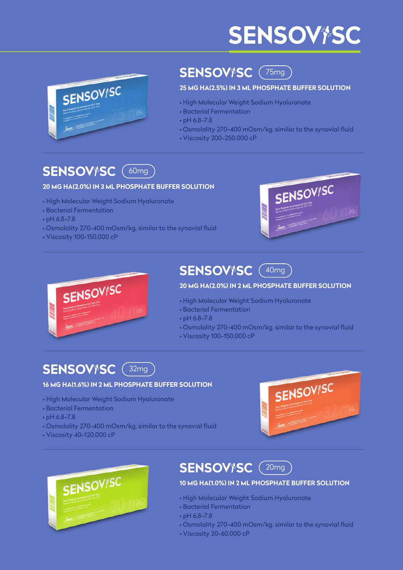# **SENSOV†SC**



# **SENSOV<sup>\*</sup>SC** (75mg)

#### **25 MG HA(2.5%) IN 3 ML PHOSPHATE BUFFER SOLUTION**

- **•** High Molecular Weight Sodium Hyaluronate
- Bacterial Fermentation
- pH 6.8-7.8
- **•** Osmolality 270-400 mOsm/kg, similar to the synovial fluid
- **•** Viscosity 200-250.000 cP

# **SENSOV<sup>\*</sup>SC** (60mg

#### **20 MG HA(2.0%) IN 3 ML PHOSPHATE BUFFER SOLUTION**

- **•** High Molecular Weight Sodium Hyaluronate
- Bacterial Fermentation
- pH 6.8-7.8
- **•** Osmolality 270-400 mOsm/kg, similar to the synovial fluid
- **•** Viscosity 100-150.000 cP





# **SENSOV<sup>\*</sup>SC** (40mg

#### **20 MG HA(2.0%) IN 2 ML PHOSPHATE BUFFER SOLUTION**

- **•** High Molecular Weight Sodium Hyaluronate
- Bacterial Fermentation
- pH 6.8-7.8
- **•** Osmolality 270-400 mOsm/kg, similar to the synovial fluid
- **•** Viscosity 100-150.000 cP

### **SENSOV<sup>\*</sup>SC** (32mg

#### **16 MG HA(1.6%) IN 2 ML PHOSPHATE BUFFER SOLUTION**

- **•** High Molecular Weight Sodium Hyaluronate
- Bacterial Fermentation
- pH 6.8-7.8
- **•** Osmolality 270-400 mOsm/kg, similar to the synovial fluid
- **•** Viscosity 40-120.000 cP





# **SENSOV<sup>\*</sup>SC** (20mg)

#### **10 MG HA(1.0%) IN 2 ML PHOSPHATE BUFFER SOLUTION**

- **•** High Molecular Weight Sodium Hyaluronate
- Bacterial Fermentation
- pH 6.8-7.8
- **•** Osmolality 270-400 mOsm/kg, similar to the synovial fluid
- **•** Viscosity 20-60.000 cP